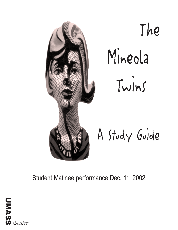

The Mineola Twins

A Study Guide

Student Matinee performance Dec. 11, 2002

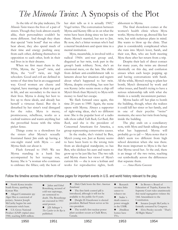# *The Mineola Twins*: A Synopsis of the Plot

As the title of the play indicates, *The Mineola Twins* traces the lives of a pair of sisters. Though they look almost exactly alike, their personalities couldn't be more different. And though they share that special "twin bond" that we often hear about, they also spend much of their time and energy pushing away from each other, defining themselves in opposition to each other, both in their real lives in in their dreams.

When we first meet them in the 1950s, Myrna, the "good" twin, and Myra, the "evil" twin, are high schoolers. Good and evil are defined in terms of that time but in an exaggerated way. Good women are chaste and virginal, have marriage as their top goal in life, and are secondary to the men in their lives. Myrna is doing her best to live up to these ideals, and already has herself a virtuous fiancé. But she is disturbed by her sister's total disregard for the rules. Myra is messy, promiscuous, rebellious, works as a cocktail waitress and wants anything but the proverbial house with the white picket fence.

Things come to a showdown for the sisters after Myrna's sexually frustrated fiancé Jim ends up having a one-night stand with Myra — and Myrna finds out about it.

Flash forward to 1969. We see Myrna standing in a bank line accompanied by her teenage son, Kenny. She is "a woman who continues to embrace the fifties; only the hem of her skirt tells us it is actually 1969," Vogel writes. The conversation between Myrna and Kenny fills us in on what the twins have been doing since we last saw them. Myrna's married, but not to Jim. By now, she's a bitter woman who's had a mental breakdown and spent time in a mental institution.

Myra, meanwhile, is involved with a radical 1960s anti-war group and, disguised as her twin, took part in the group's bank robbery. Now, she's an emotional mess, on the lam. She shifts from defiant anti-establishment talk to laments about her situation and regrets about what's happened to her twin. Myrna, despite everything, has sent her son Kenny (who seems more a chip off Myra's block than Myrna's) to Myra with money to fund her escape.

We flash forward once again, this time 20 years to 1989. Again, the scene opens with Myrna. Always a supporter of right-wing ideas, she's no different now: She is the popular host of a radio talk-show called *Talk Back, Get Back, Bite Back*, and she is the president of Concerned Americans for America, a group representing conservative causes.

In the studio, she's visited by Ben, Myra's young son. Just as Kenny seems to have been born to the wrong twin from an ideological standpoint, so has Ben, who idolizes his aunt and wants to grow up to be just like her. The two talk and Myrna shares her views of Myra's current life — she is now a lesbian and works for reproductive rights, both abhorrent to Myrna.

The final showdown comes at the women's health clinic where Myra works. Myrna shows up, dressed like her twin, but with nefarious plans in mind. She wants to blow up the clinic. That plan is considerably complicated when she runs into Myra's lover, Sarah, and their son, Ben, who are both meeting Myra there after her return from a trip.

Despite their lack of direct contact for many years, the twins are dressed identically on this day, and confusion ensues when each keeps popping up and having conversations with Sarah. All the while, Myrna's trying to plant her bomb, Myra's distracted by work and other issues, and Sarah's trying to have a serious relationship talk with what she thinks is a weirdly inconsistent partner.

Myrna backs off her plan to bomb the building, though, when she realizes it could kill her sister or her family, and in one of their psychic "twins" moments, she saves her twin from being inside the building.

The play ends on a conciliatory note, with Myra and Sarah talking about what has happened. Myrna will probably go to jail — Myra notes that it didn't seem too different from high school detention when she was there. But more important to Myra is the fact that Myrna saved her. At the end, there is an image of the two twins, reaching out symbolically across the differences that separate them.

*— Anna-Maria Goossens*

#### Follow the timeline across the bottom of these pages for important events in U.S. and world history relevant to the play.

| North Korea invades<br>South Korea, sparking the<br>Korean War.<br>Alleged Communist spy<br>$\bullet$<br>Alger Hiss is convicted of<br>perjury Senator Joseph<br>McCarthy begins his anti-<br>Communist witch hunt.<br>U.S. Gross National<br>Product (GNP) tripled since<br>1940, reaching \$284 million. | Julius and Ethel<br>Rosenberg, accused of<br>cold war espionage,<br>are sentenced to<br>death. The Rosenbergs<br>are executed in 1953<br>amid protest.<br>J.D. Salinger 's<br>$\bullet$<br>The Catcher in the Rye is<br>published. | Dick Clark hosts the first <i>American</i><br>Bandstand.<br>The first birth control pill is<br>introduced, although it will not be<br>available to the public for 8 years.<br>Dwight D. Eisenhower is elected<br>president. Richard Nixon serves as his<br>vice-president.<br>The world's first nuclear power<br>$\bullet$<br>plant accident occurs at Chalk River,<br>Canada. | Research<br>$\bullet$<br>on mice links<br>cancer to<br>tobacco tar.<br>Stalin 's<br>$\bullet$<br>death causes a<br>power struggle<br>in the USSR.<br>20million<br>$\bullet$<br>homes have<br>TVs. | In Brown v. Board of<br>Education of Topeka, Kansas the<br>Supreme Court rules unanimously<br>that racial segregation violates the<br>14th Amendment to the<br>Constitution.<br>Senator Joseph McCarthy is<br>$\bullet$<br>formally censured by Congress.<br>Elvis Presley records `That's<br>$\bullet$<br>All Right Mama." |
|------------------------------------------------------------------------------------------------------------------------------------------------------------------------------------------------------------------------------------------------------------------------------------------------------------|------------------------------------------------------------------------------------------------------------------------------------------------------------------------------------------------------------------------------------|--------------------------------------------------------------------------------------------------------------------------------------------------------------------------------------------------------------------------------------------------------------------------------------------------------------------------------------------------------------------------------|---------------------------------------------------------------------------------------------------------------------------------------------------------------------------------------------------|-----------------------------------------------------------------------------------------------------------------------------------------------------------------------------------------------------------------------------------------------------------------------------------------------------------------------------|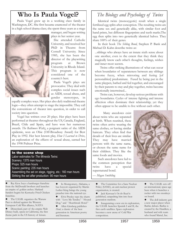### **Who Is Paula Vogel?**

Paula Vogel grew up in a working class family in Washington, DC. She first became enamored of the theater in a high school drama class; she spent three years as a stage manager, and began writing



plays in her senior year.

She attended Catholic University, and received her PhD in Theatre from Cornell University. Since 1985, she has been the director of the playwriting program at Brown University in Rhode Island. This program is now considered one of the country's best.

Paula Vogel's plays are provocative. They deal with complex social issues such as AIDS, sexual abuse, and gender stereotypes, in

equally complex ways. Her plays also defy traditional theatre logic—they often attempt to stage the impossible. They call the conventions of theater into question, in order to call society into question.

Vogel has written over 20 plays. Her plays have been performed at theatres throughout the US, Canada, England, Brazil, Chile and Spain, and have won her numerous awards. *The Baltimore Waltz*, a poignant satire of the AIDS epidemic, won an Obie (Off-Broadway Award) for Best Play in 1992. Her best known play, *How I Learned to Drive*, an exploration of the effects of sexual abuse, earned her the 1998 Pulitzer Prize.

#### In the scene shop

Labor estimates for *The Mineola Twins*: Scenery: 1375 man hours Props: 525 man hours Scenic painting: 235 man hours Assembling the set on stage, rigging, etc.: 160 man hours Striking the set after production: 90 man hours

Ray Kroc buys a hamburger franchise from the McDonald brothers and launches an empire of golden arches. Harland Sanders begins his Kentucky Fried Chicken franchise.

The U.S.S.R. organizes the Warsaw Pact to defend against the Western European Cold War alliance, NATO.

Disneyland, part of the empire Walt Disney built, opens in California, the first theme park in the US history of leisure.

 $\bullet$  In Montgomery, Alabama, a bus boycott organized by Martin Luther King brings the young preacher into the national eye.

**Elvis Presley tops the charts** with ``Love Me Tender,'' ``Hound Dog,'' and ``Heartbreak Hotel.'' **•** Allen Ginsberg publishes *Howl*, a classic of the beat

generation in American poetry and literature.

### *The Biology and Psychology of Twins*

Identical twins (monozygotic) result when a single fertilized egg splits after conception. The resulting twins are the same sex and genetically alike, with similar foot and hand prints, but different fingerprints and teeth marks.The egg then splits into two genetically identical halves. They share 100% of their genes.

In their book *The Sibling Bond*, Stephen P. Bank and Michael D. Kahn describe twins as:

...siblings who always have an innate sixth sense about one another, even to the extent that they think they magically know each other's thoughts, feelings, wishes and inner most secrets.

Twins offer striking illustrations of what can occur when boundaries of separateness between any siblings become fuzzy, when mirroring and fusing [of personalities] predominate. Fused by being put in the same playpen, bathed and fed together, and encouraged by their parents to stay and play together, twins become emotionally intertwined...

Twins can, however, develop serious problems with ego boundaries. Cycles of intense fighting and intense affection often dominate their relationship; yet they often appear to be unable to live without each other.

Many anecdotes exist about twins who are separated at birth. When reunited, these twins often arrive wearing the same clothes, or having similar haircuts. They often find that details of their lives are similar. They may have married persons with the same name, or chosen the same name for their children. They like the same foods and movies.

Such anecdotes have led to the common perception that twins have a special supernatural bond.

*— Megan Smithling*

**•** The Committee for a Sane Nuclear Policy (SANE), an anti-nuclear protest organization, is created.

**l** Jack Kerouac's *On the Road* is published, catapulting him into beat generation stardom.

**•** Inaugurating a new era in exploration, the U.S.S.R. launches Sputnik I and II, the first earth satellites. Space exploration becomes a new arena of Cold War competition.

**l** The U.S.S.R. sets off an international, space-age buzz when it launches a rocket with two monkeys on board.

• The doll industry gets a new major player when Barbie debuts. Barbie is created by the Handlers, a husband and wife team who found Mattel, Inc.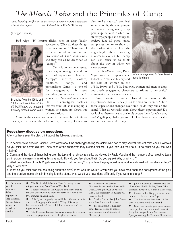# *The Mineola Twins* and the Principles of Camp

*camp: banaility, artifice, etc. sp extreme as to aumse or have a perversely sophisticated appeal — Webster's New World Dictionary*

*by Megan Smithling*

Bad wigs. "B" horror flicks. Men in drag. Tacky



B-Movies from the 1950s and 1960s, such as *Attack of the 50-foot Woman,* are treasured by many for their 'camp' value

accessories. What do these things have in common? These are all elements found in our current production of *The Mineola Twins,* and they can all be described as "campy."

Camp is an aesthetic sense. It is a way of seeing the world in terms of stylization. There are "campy" movies, clothes, furniture, songs, and personalities. Camp is a love of the exaggerated. It sees everything in quotation marks. A woman is a "woman" in a campy film. The stereotypical qualities that we think of as making up a woman or a man are blown out of proportion.

Camp is the clearest example of the metaphor of life as theater; it focuses on the roles we play in society. Camp can also make satirical political statements. By showing people or things as exaggerated, camp points up the ways in which we stereotype people and things in society. Like all good satire, camp uses humor to show us the darker side of life. We might laugh at the man wearing a woman's clothes, but camp can also cause us to think about the way in which we view women.

In *The Mineola Twins,* Paula Vogel uses the camp aesthetic to look at American history and the role of women in the



*Whatever Happened to Baby Jane?* is camp landmark.

1950s, 1960s, and 1980s. Bad wigs, women and men in drag, and overly exaggerated characters contribute to her critical examination of our own society.

Vogel wants to know: How do we look at the expectations that our society has for men and women? Have these expectations changed over time, or do they remain the same? What do we really think about these expectations? Do we look at them critically, or simply accept them for what they are? Vogel's play challenges us to look at these issues critically, and to have fun while doing it.

#### Post-show discussion questions

After you have seen the play, think about the following questions:

1. In her interview, director Danielle Sertz talked about the challenges facing the actors who had to play several different roles each. How well do you think the actors did that? Was each of the characters they created distinct? If yes, how did they do it? If no, what do you feel was missing?

2. Camp, and the idea of things being over-the-top and not strictly realistic, are viewed by Paula Vogel and the members of our creative team as important elements in making this play work. How do you feel about that? Do you agree? Why or why not?

3. What do you think of Paula Vogel's use of twins to tell her story?Do you think the play would have work equally well with non-twin siblings? Why or why not?

4. What do you think was the best thing about the play? What was the worst? Given what you have read about the background of the play and the creative teams' aims in bringing it to the stage, what would you have done differently if you were in charge?

| Democrat<br>$\blacksquare$ |
|----------------------------|
| John F.                    |
| Kennedy                    |
| defeats                    |
| Republican                 |
| Vice-President             |
| Richard Nixon              |
| to win the                 |
| presidential               |
| election.                  |
|                            |

- The Berlin Wall is built in East Germany to stop refugees escaping from East to West Berlin.
- **.** Soviet cosmonaut Yuri Gagarin is the first man to travel in space when he orbits the earth in *Vostok I* for 89.1 minutes on April 12th.
- l Bob Dylan, originally named Robert Zimmerman, is discovered singing in Greenwich Village. His songs become symbolic of the civil rights movement and the hippie culture.
- **•** The Freedom Rides in Alabama attempt to overturn southern segregation in the civil rights movement.
- $\bullet$  American surveillance discovers Soviet missiles installed in Cuba. During the Cuban Missile Crisis, the possibility of nuclear war raises its head.
- **.** Marine Corps pilot John Glenn is the first American in space.
- **•** President John F. Kennedy sends federal troops to enforce integration at the University of Mississippi.
- **.** John F. Kennedy is assassinated on November 22nd in Dallas, Texas. Vice-President Lyndon B. Johnson takes office.
- **•** Martin Luther King, Jr., delivers his famous, ``I have a dream'' speech.
- **•** The Beatles get their first U.S. hit with "I Wanna Hold Your Hand."
- **•** Congress votes to guarantee women equal pay for equal work, and feminist Betty Friedan publishes *The Feminine Mystique,* starting the Feminist Movement.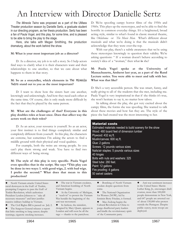# An Interview with Director Danielle Sertz

*The Mineola Twins* was proposed as a part of the UMass Theater production season by Danielle Sertz, a graduate student in our directing program, as her thesis production. Sertz has been a fan of Paula Vogel, and this play, for some time, and is pleased to be able to bring the play to the stage.

Here, she talks with Megan Smithling, the production dramaturg, about the work behind the show.

#### **M: What is your most important job as a director?**

D: As a director, my job is to tell a story. So I help actors find ways to clarify what it is their characters want and their relationships to one another, so that we care about what happens to them in that story.

#### **M: So as a storyteller, which elements in** The Mineola Twins **stand out to you as the most important?**

D: I want to show how the sisters hurt one another, knowingly and unknowingly. And how they need each other at the same time. Of course, this is only made more difficult by the fact that they're played by the same person.

#### **M: What are the challenges of that? Everyone in this play doubles roles at least once. Does that affect way the actors work on their roles?**

D: As an actor, your resource is yourself. So as an actor, your first instinct is to find things completely similar and completely different from yourself. In this play, the characters are extreme, but sometimes I'm asking the actors to find a middle ground with their physical and vocal qualities.

For example, both the twins are strong people. So you can't play them strong and weak. You have to find two different ways of being strong.

**M: The style of this play is very specific. Paula Vogel even specifies that in the script. She says "This play can be done in two ways: 1. with good wigs, 2. with bad wigs. I prefer the second." What does that mean to this production?**

l North Vietnam attacks United States naval destroyers in the Gulf of Tonkin, prompting Congress to pass the Gulf of Tonkin Resolution, which authorizes President Lyndon Johnson to ``take all necessary measures'' and later justifies massive military buildup in Vietnam.

The Civil Rights Bill is passed on July 2.

The Surgeon General releases a report that links smoking to lung cancer; despite warnings, cigarette smoking increases.

**•** The war in Vietnam escalates, and American bombing of North Vietnam begins.

 $\bullet$  At the University of Michigan, a ``teach-in'' to protest the Vietnam War heralds the beginning of the anti-war movement.

In fashion, the miniskirt, designed by Mary Quant, appears in London and will soon be all the rage — thanks to the pantyhose.

D: We're spoofing campy horror films of the 1950s and 1960s. This plays up the stereotypes, and we're able to find the horrific in common everyday things. It's a heightened, broad acting style, similar to what's found in classic musical theatre, like *Oklahoma* or *The Music Man.* What's different about musicals and what we're doing is that the musicals didn't acknowledge that they were over-the-top.

With our play, there's a subtle awareness that we're using these stereotypes knowingly to question their validity. We're asking questions: " If a woman doesn't behave according to society's idea of a "woman," then what **is** she?

#### **M: Paula Vogel spoke at the University of Massachusetts, Amherst last year, as a part of the Rand Lecture series. You were able to meet and talk with her. What was that like?**

D: She's a very accessible person. She was smart, funny, and really giving to all of the students that she met, including me. Paula Vogel is very inspirational in that if she thinks it's true, she won't hesitate to say it, no matter how taboo.

In talking about the play, she got very excited about the campy films, the forms she was spoofing. She wanted to talk about these movies and how fun they are. The style of the piece she had created was the most interesting to her.

#### Material costs

Estimated materials needed to build scenery for the show Wood: 480 board feet of dimension lumber Plywood: 432 sq ft. Muslin/canvas: 600 sq ft. Glue: 2 gallons Screws: 12 pounds various sizes Nails/air staples: 5 pounds various sizes 40 hinges Bolts with nuts and washers: 325 Steel tube: 280 feet. Paint: 12 gallons Fire proofing: 4 gallons 50 swivel casters

**•** Bombing of North Vietnam escalate despite questions from some.

**•** The National Organization for Women (NOW), led by feminist Betty Friedan, is formed.

• Mao Zedong begins the Cultural Revolution in China to purge disaffected party leaders and kindle the revolutionary spirit of the Communist party.

**•** Anti-war sentiment increases in the United States: Martin Luther King, Jr., encourages draft evasion, more than 100,000 people demonstrate in New York, and 647 people are arrested out of about 150,000 who protest outside the Pentagon. Despite public outcry, more troops are deployed.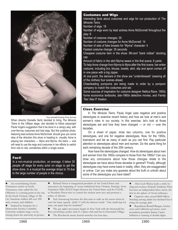

Thom Kendall/University Photo Services

When director Danielle Sertz decided to bring *The Mineola Twins* to the UMass stage, she decided to follow playwright Paula Vogel's suggestion that it be done in a campy way, with over-the-top costumes and bad wigs. But this publicity photo, featuring lead actress Anne McDonnell, should give you some idea of the direction this show is heading in, visually. Anne is playing two characters — Myra and Myrna, the twins — and will need to use the wigs and costumes in her efforts to switch from role to role, sometimes within a single scene.

#### Fact!

In a non-musical production, on average, it takes 30 people off stage for every actor on stage to get the show done. In a musical the average drops to 18 due to the large number of people in the chorus.

#### Costumes and Wigs

Interesting facts about costumes and wigs for our production of *The Mineola Twins*

Number of wigs: 18

Number of wigs worn by lead actress Anne McDonnell throughout the play: 6

Number of costume changes: 35

Number of costume changes for Anne McDonnell: 14

Number of sets of fake breasts for "Myrna" character: 4

Fastest costume change: 35 seconds

Cheapest costume item in the show: 99-cent "bank robber" stocking cap

Amount of fabric in the skirt Myrna wears in the first scene: 6 yards To help Anne change from Myrna to Myra after the first scene, her entire costume, including bra, blouse, bowtie, skirt, slip and apron comes off in one piece with a big zipper.

At one point, the dancers in the show are "underdressed" (wearing all of the clothes) four scenes ahead.

Cheerleading pompoms are being made to order by a pompom company to match the costumes and set.

Some sources of inspiration for costume designer Nellica Rave: 1950s home economics textbooks, late-1960s detective movies, and *Family Ties*' Alex P. Keaton.

#### Class Exercise

In *The Mineola Twins*, Paula Vogel uses negative and positive stereotypes to examine recent history and how we look at men's and women's roles in our society. In this exercise, let's look at those stereotypes are and how they have changed — or not — over the decades.

On a sheet of paper, draw two columns, one for positive stereotypes, and one for negative stereotypes. Now, for the 1950s, brainstorm and list as many of each as you can find. Pay particular attention to stereotypes about men and women. Do the same thing for each remaining decade of the 20th century.

How have the stereotypes changed. How do stereotypes about men and women from the 1950s compare to those from the 1990s? Can you draw any conclusions about how those changes relate to the stereotypes we have about those decades in general? Finally, although stereotypes may have some basis in reality, often, they are exaggerated or untrue. Can you make any guesses about the truth or untruth about some of the stereotypes you have listed?

An overwhelming North Vietnamese attack on South Vietnamese cities called the Tet Offensive is a turning point in the war. In the South Vietnam village of My Lai, American soldiers kill over 300 men, women, and children.

Inspired by Students for a Democratic Society, Columbia University students stage a sit-in, closing down the university in protest. l Richard Nixon is inaugurated president of the United States and announces the beginning of troop withdrawal from Vietnam. Strategic Arms Limitation Talks (SALT) begin between the United States and the U.S.S.R., as President Nixon tries to control the nuclear arms race and promote a policy of détente.

l Neil Armstrong becomes the first man to walk on the moon when he exits the lunar capsule *Apollo 11* with the famous words ``One small step for man, one giant leap for mankind.''

l The gay rights movement begins in New York with the Stonewall Inn Riot, protesting a police raid of a dance club and bar in Greenwich Village.

**•** The Woodstock music festival stretches for four days.

After Lech Walesa leads a strike by shipyard workers, Poland's Solidarity Party becomes an independent labor union, the first in the sphere of Soviet influence.

l Cigarette sales exceed \$600 billion. Smoking among adults has declined but is rising for teenage girls.

l Republican Ronald Reagan, former actor and California governor, ousts incumbent president Jimmy Carter. Inflation is running at double-digits.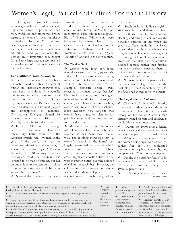## Women's Legal, Political and Cultural Position in History

Throughout most of history, women generally have had fewer legal rights and career opportunities than men. Wifehood and motherhood were regarded as women's most significant professions. In the 20th century, however, women in most nations won the right to vote and increased their educational and job opportunities. Perhaps most important, they fought for and to a large degree accomplished a reevaluation of traditional views of their role in society.

#### **Early Attitudes Towards Women**

 $\bullet$  Since early times women have been uniquely viewed as a creative source of human life. Historically, however, they have been considered intellectually inferior to men and a major source of temptation and evil. In Greek mythology, a woman, Pandora, opened the forbidden box and brought plagues and unhappiness to mankind. Christianity's Eve gets blamed for causing humanity's expulsion from Eden by eating the forbidden fruit.

❖ Early Christian theology perpetuated these views. St. Jerome, a 4th-century Latin father of the Christian church, said: "Woman is the gate of the devil, the path of wickedness, the sting of the serpent, in a word a perilous object." Thomas Aquinas, the 13th-century Christian theologian, said that woman was "created to be man's helpmeet, but her unique role is in conception . . . since for other purposes men would be better assisted by other men."

◆ Nevertheless, when they were

allowed personal and intellectual freedom, women made significant contributions. During the Middle Ages nuns played a key role in the religious life of Europe. Whole eras were influenced by women rulers, such as Queen Elizabeth of England in the 16th century, Catherine the Great of Russia in the 18th century, and Queen Victoria of England in the 19th century.

#### T**he Weaker Sex?**

Women were long considered naturally weaker than men, squeamish, and unable to perform work requiring muscular or intellectual development. In most pre-industrial societies, for example, domestic chores were relegated to women, leaving "heavier" labor such as hunting and plowing to men —ignoring the fact that caring for children, as milking cows and washing clothes also required heavy, sustained labor. Research now suggests that women have a greater tolerance for pain, live longer and are more resistant to many diseases.

 $\bullet$  Maternity, the natural biological role of women, has traditionally been regarded as their major social role as well. The resulting stereotype that "a woman's place is in the home" has largely determined the ways in which women have expressed themselves. Today, contraception and, in some areas, legalized abortion have given women greater control over the number of children they will bear. However, the cultural pressure for women to become wives and mothers still prevents many talented women from finishing college or pursuing careers.

v Traditionally, a middle-class girl in Western culture tended to learn from her mother's example that cooking, cleaning, and caring for children was the behavior expected of her when she grew up. Tests made in the 1960s showed that the scholastic achievement of girls was higher in the early grades than in high school. The major reason given was that girls' own expectations declined because neither their families nor their teachers expected them to prepare for a future other than that of marriage and motherhood.

❖ Women obtained 19 percent of all undergraduate college degrees at the beginning of the 20th century. By 1984, the figure had increased to 49 percent.

#### **The Legal Status of Women**

The myth of the natural inferiority of women greatly influenced the status of women in law. During the early history of the United States, a man virtually owned his wife and children as he did his material possessions.

During the 1960s several federal laws improving the economic status of women were passed. The Equal Pay Act of 1963 required equal wages for men and women doing equal work. The Civil Rights Act of 1964 prohibited discrimination against women by any company with 25 or more employees.

 $\bullet$  Despite the Equal Pay Act of 1963, women in 1970 were paid 45 percent less than men for the same jobs; in 1988, 32 percent less.

◆ Working women often faced continued on back

| IBM sells its first personal computer. The operating system, MS-DOS, was<br>$\bullet$<br>developed by Bill Gates's Microsoft.<br>AIDS (Acquired Immune Deficiency Syndrome) begins to be recognized as an<br>$\bullet$<br>epidemic.<br>Both Pope John Paul II and President Reagan are wounded in assassination<br>attempts. U.S. press secretary James Brady, severely wounded in the latter attack, will<br>become the namesake of a bill advocating greater gun control.<br>Sandra Day O'Connor becomes the first woman to sit on the U.S. Supreme Court.<br>$\bullet$<br>Subsequent changes, such as the appointment of Anthony Scalia to the Court and of<br>William Rehnquist to Chief Justice, mark a turning to a more conservative judicial stance. | $\bullet$ U.S.<br>Surgeon<br>Everett<br>Koop<br>denounces<br>cigarette<br>smoking. | $\bullet$ Cellular<br>phones first appear<br>in the U.S.<br>Crack debuts.<br>This addictive<br>substance spells<br>disaster for many<br>American people<br>and communities. | Apple Computer, founded<br>by Stephen Wozniak and Steven<br>Jobs, releases the Macintosh<br>personal computer.<br>President Ronald Reagan is<br>re-elected. His Democrat<br>opponents are Walter Mondale<br>and Geraldine Ferraro, the first<br>woman to run for vice-president<br>from a major political party. |
|--------------------------------------------------------------------------------------------------------------------------------------------------------------------------------------------------------------------------------------------------------------------------------------------------------------------------------------------------------------------------------------------------------------------------------------------------------------------------------------------------------------------------------------------------------------------------------------------------------------------------------------------------------------------------------------------------------------------------------------------------------------|------------------------------------------------------------------------------------|-----------------------------------------------------------------------------------------------------------------------------------------------------------------------------|------------------------------------------------------------------------------------------------------------------------------------------------------------------------------------------------------------------------------------------------------------------------------------------------------------------|
| 981                                                                                                                                                                                                                                                                                                                                                                                                                                                                                                                                                                                                                                                                                                                                                          | $\mathcal{A}$ 81                                                                   | 1983                                                                                                                                                                        | 1984                                                                                                                                                                                                                                                                                                             |